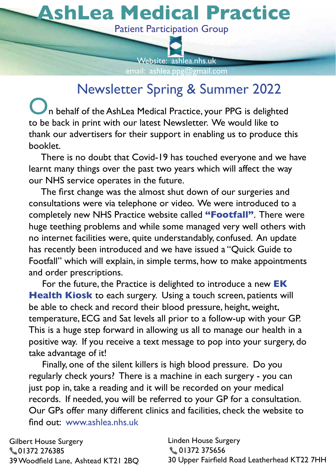# **AshLea Medical Practice** <sup>1</sup> **AshLea Medical Practice** <sup>1</sup>

Patient Participation Group Patient Participation Group



# Newsletter Spring & Summer 2022 Newsletter Spring & Summer 2022

**ORFILED STATES**<br>The back in print with our latest Newsletter. We would like to to be back in print with our latest Newsletter. We would like to thank our advertisers for their support in enabling us to produce this booklet. thank our advertisers for the internal use their support in enable us to produce the produce this produce this

There is no doubt that Covid-19 has touched everyone and we have learnt many things over the past two years which will affect the way our NHS service operates in the future.

The first change was the almost shut down of our surgeries and consultations were via telephone or video. We were introduced to a completely new NHS Practice website called **"Footfall"**. There were huge teething problems and while some managed very well others with no internet facilities were, quite understandably, confused. An update has recently been introduced and we have issued a "Quick Guide to Footfall" which will explain, in simple terms, how to make appointments<br>and ander accessivations and order prescriptions.

and order prescriptions.<br>For the future, the Practice is delighted to introduce a new **EK Health Kiosk** to each surgery. Using a touch screen, patients will FIERT FIFFIX TO SEE THE STRIGG. THE STRIGG STRIGG STRIGG STRIGG STRIGG STRIGG STRIGG STRIGG STRIGG STRIGG STRIGG STRIGG STRIGG STRIGG STRIGG STRIGG STRIGG STRIGG STRIGG STRIGG STRIGG STRIGG STRIGG STRIGG STRIGG STRIGG STRI temperature, ECG and Sat levels all prior to a follow-up with your GP. This is a huge step forward in allowing us all to manage our health in a positive way. If you receive a text message to pop into your surgery, do take advantage of it! The state of  $\mathbf{R}$  is a state of  $\mathbf{R}$  and  $\mathbf{R}$ 

Finally, one of the silent killers is high blood pressure. Do you regularly check yours? There is a machine in each surgery - you can just pop in, take a reading and it will be recorded on your medical records. If needed, you will be referred to your GP for a consultation. Our GPs offer many different clinics and facilities, check the website to find out: www.ashlea.nhs.uk

Gilbert House Surgery  $\sim$  01372 276385 39 Woodfield Lane, Ashtead KT21 2BQ

0MRHIR,SYWI7YVKIV] 3YV+4WSJJIVQER]HMJJIVIRXGPMRMGWERHJEGMPMXMIWGLIGOXLI[IFWMXIXS 01372 375656 30 Upper Fairfield Road Leatherhead KT22 7HH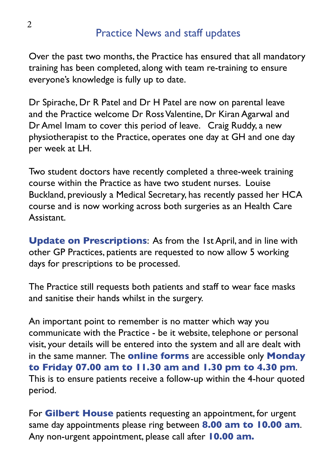#### **Practice News and staff updates**

Over the past two months, the Practice has ensured that all mandatory training has been completed, along with team re-training to ensure everyone's knowledge is fully up to date.

Dr Spirache, Dr R Patel and Dr H Patel are now on parental leave and the Practice welcome Dr Ross Valentine, Dr Kiran Agarwal and Dr Amel Imam to cover this period of leave. Craig Ruddy, a new physiotherapist to the Practice, operates one day at GH and one day per week at LH.

Two student doctors have recently completed a three-week training course within the Practice as have two student nurses. Louise Buckland, previously a Medical Secretary, has recently passed her HCA course and is now working across both surgeries as an Health Care Assistant.

**Update on Prescriptions:** As from the 1st April, and in line with other GP Practices, patients are requested to now allow 5 working days for prescriptions to be processed.

The Practice still requests both patients and staff to wear face masks and sanitise their hands whilst in the surgery.

An important point to remember is no matter which way you communicate with the Practice - be it website, telephone or personal visit, your details will be entered into the system and all are dealt with in the same manner. The **online forms** are accessible only **Monday** to Friday 07.00 am to 11.30 am and 1.30 pm to 4.30 pm. This is to ensure patients receive a follow-up within the 4-hour quoted period.

For Gilbert House patients requesting an appointment, for urgent same day appointments please ring between 8.00 am to 10.00 am. Any non-urgent appointment, please call after 10.00 am.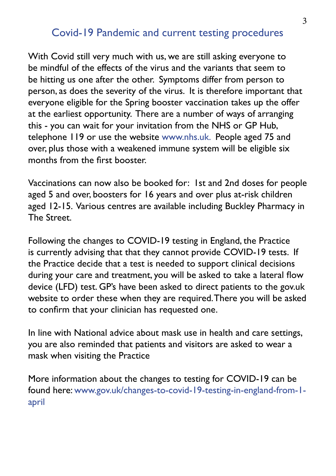#### Covid-19 Pandemic and current testing procedures

With Covid still very much with us, we are still asking everyone to be mindful of the effects of the virus and the variants that seem to be hitting us one after the other. Symptoms differ from person to person, as does the severity of the virus. It is therefore important that everyone eligible for the Spring booster vaccination takes up the offer at the earliest opportunity. There are a number of ways of arranging this - you can wait for your invitation from the NHS or GP Hub, telephone 119 or use the website www.nhs.uk. People aged 75 and over, plus those with a weakened immune system will be eligible six months from the first booster.

Vaccinations can now also be booked for: 1st and 2nd doses for people aged 5 and over, boosters for 16 years and over plus at-risk children aged 12-15. Various centres are available including Buckley Pharmacy in The Street.

Following the changes to COVID-19 testing in England, the Practice is currently advising that that they cannot provide COVID-19 tests. If the Practice decide that a test is needed to support clinical decisions during your care and treatment, you will be asked to take a lateral flow device (LFD) test. GP's have been asked to direct patients to the gov.uk website to order these when they are required. There you will be asked to confirm that your clinician has requested one.

In line with National advice about mask use in health and care settings, you are also reminded that patients and visitors are asked to wear a mask when visiting the Practice

More information about the changes to testing for COVID-19 can be found here: www.gov.uk/changes-to-covid-19-testing-in-england-from-1april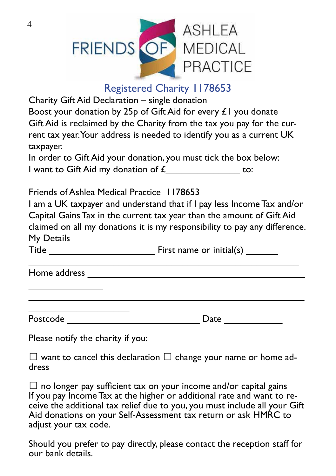

#### Registered Charity 1178653

Charity Gift Aid Declaration - single donation

Boost your donation by 25p of Gift Aid for every  $£1$  you donate Gift Aid is reclaimed by the Charity from the tax you pay for the current tax year. Your address is needed to identify you as a current UK taxpayer.

In order to Gift Aid your donation, you must tick the box below: I want to Gift Aid my donation of  $\mathcal{L}$  to:

**Friends of Ashlea Medical Practice 1178653** 

I am a UK taxpayer and understand that if I pay less Income Tax and/or Capital Gains Tax in the current tax year than the amount of Gift Aid claimed on all my donations it is my responsibility to pay any difference. My Details

CCCCCCCCCCCCCCCCCCCCCCCCCCCCCCCCCCCCCCCCCCCCCCCCCCC

 $\overline{\phantom{a}}$  . The contraction of the contract contract contract contract contract contract contract contract contract contract contract contract contract contract contract contract contract contract contract contract cont

Title **Example 2** First name or initial(s)

Home address \_\_\_\_\_\_\_\_

 $\overline{\phantom{a}}$ 

| Postcode |
|----------|
|----------|

4SWXGSHICCCCCCCCCCCCCCCCCCCCCCCCC(EXICCCCCCCCCCC

Please notify the charity if you:

CCCCCCCCCCCCCCCCCCC

 $\Box$  want to cancel this declaration  $\Box$  change your name or home ad-<br>dress

 $\square$  no longer pay sufficient tax on your income and/or capital gains If you pay Income Tax at the higher or additional rate and want to receive the additional tax relief due to you, you must include all your Gift Aid donations on your Self-Assessment tax return or ask HMRC to adjust your tax code.

Should you prefer to pay directly, please contact the reception staff for our bank details.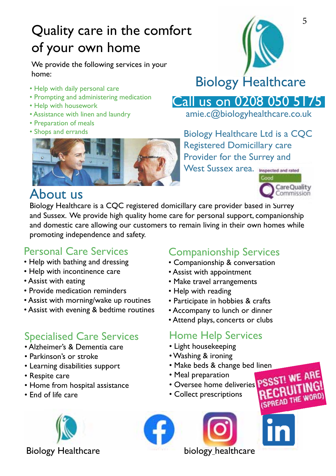# Quality care in the comfort of your own home

We provide the following services in your home:

- Help with daily personal care
- Prompting and administering medication
- Help with housework
- Assistance with linen and laundry
- Preparation of meals
- 



# Biology Healthcare

Call us on 0208 050 5 | 75 |

amie.c@biologyhealthcare.co.uk

• Shops and errands **Biology Healthcare Ltd is a CQC** Registered Domicillary care Provider for the Surrey and

West Sussex area. Imagected and rated



RECRUITING (SPREAD THE WORD

## About us

Biology Healthcare is a CQC registered domicillary care provider based in Surrey and Sussex. We provide high quality home care for personal support, companionship and domestic care allowing our customers to remain living in their own homes while promoting independence and safety.

#### Personal Care Services

- Help with bathing and dressing
- Help with incontinence care
- Assist with eating
- Provide medication reminders
- Assist with morning/wake up routines
- Assist with evening & bedtime routines

### **Specialised Care Services**

- Alzheimer's & Dementia care
- Parkinson's or stroke
- Learning disabilities support
- Respite care
- Home from hospital assistance
- End of life care

Biology Healthcare **Biology healthcare** 

### Companionship Services

- Companionship & conversation
- Assist with appointment
- Make travel arrangements
- Help with reading
- Participate in hobbies & crafts
- Accompany to lunch or dinner
- Attend plays, concerts or clubs

### Home Help Services

- Light housekeeping
- Washing & ironing
- Make beds & change bed linen
- · Meal preparation
- Oversee home deliveries
- Collect prescriptions



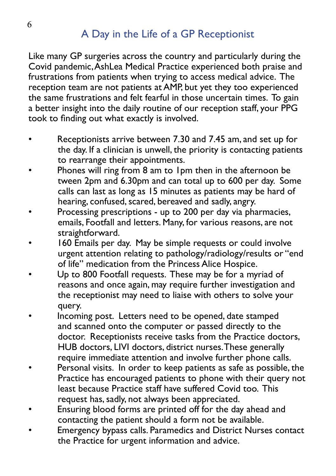### A Day in the Life of a GP Receptionist

Like many GP surgeries across the country and particularly during the Covid pandemic, AshLea Medical Practice experienced both praise and frustrations from patients when trying to access medical advice. The reception team are not patients at AMP, but yet they too experienced the same frustrations and felt fearful in those uncertain times. To gain a better insight into the daily routine of our reception staff, your PPG took to finding out what exactly is involved.

- Receptionists arrive between 7.30 and 7.45 am, and set up for the day. If a clinician is unwell, the priority is contacting patients to rearrange their appointments.
- Phones will ring from 8 am to 1pm then in the afternoon be tween 2pm and 6.30pm and can total up to 600 per day. Some calls can last as long as 15 minutes as patients may be hard of hearing, confused, scared, bereaved and sadly, angry.
- Processing prescriptions up to 200 per day via pharmacies, emails, Footfall and letters. Many, for various reasons, are not straightforward.
- 160 Emails per day. May be simple requests or could involve urgent attention relating to pathology/radiology/results or "end of life" medication from the Princess Alice Hospice.
- Up to 800 Footfall requests. These may be for a myriad of reasons and once again, may require further investigation and the receptionist may need to liaise with others to solve your query.
- Incoming post. Letters need to be opened, date stamped and scanned onto the computer or passed directly to the doctor. Receptionists receive tasks from the Practice doctors, HUB doctors, LIVI doctors, district nurses. These generally require immediate attention and involve further phone calls.
- Personal visits. In order to keep patients as safe as possible, the Practice has encouraged patients to phone with their query not least because Practice staff have suffered Covid too. This request has, sadly, not always been appreciated.
- Ensuring blood forms are printed off for the day ahead and contacting the patient should a form not be available.
- Emergency bypass calls. Paramedics and District Nurses contact the Practice for urgent information and advice.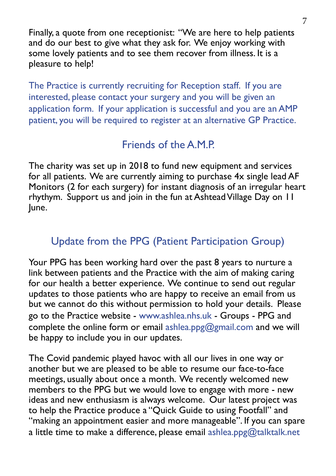Finally, a quote from one receptionist: "We are here to help patients and do our best to give what they ask for. We enjoy working with some lovely patients and to see them recover from illness. It is a pleasure to help!

The Practice is currently recruiting for Reception staff. If you are interested, please contact your surgery and you will be given an application form. If your application is successful and you are an AMP patient, you will be required to register at an alternative GP Practice.

#### $F$ riends of the  $A.M.P$

The charity was set up in 2018 to fund new equipment and services for all patients. We are currently aiming to purchase 4x single lead AF Monitors (2 for each surgery) for instant diagnosis of an irregular heart rhythym. Support us and join in the fun at Ashtead Village Day on 11 June.

### Update from the PPG (Patient Participation Group)

Your PPG has been working hard over the past 8 years to nurture a link between patients and the Practice with the aim of making caring for our health a better experience. We continue to send out regular updates to those patients who are happy to receive an email from us but we cannot do this without permission to hold your details. Please go to the Practice website - www.ashlea.nhs.uk - Groups - PPG and complete the online form or email ashlea.ppg@gmail.com and we will be happy to include you in our updates.

The Covid pandemic played havoc with all our lives in one way or another but we are pleased to be able to resume our face-to-face meetings, usually about once a month. We recently welcomed new members to the PPG but we would love to engage with more - new ideas and new enthusiasm is always welcome. Our latest project was to help the Practice produce a "Quick Guide to using Footfall" and "making an appointment easier and more manageable". If you can spare a little time to make a difference, please email ashlea.ppg@talktalk.net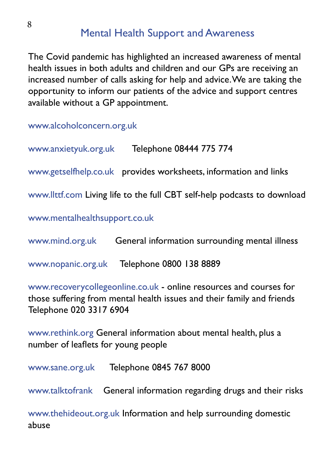#### **Mental Health Support and Awareness**

The Covid pandemic has highlighted an increased awareness of mental health issues in both adults and children and our GPs are receiving an increased number of calls asking for help and advice. We are taking the opportunity to inform our patients of the advice and support centres available without a GP appointment.

www.alcoholconcern.org.uk

www.anxietyuk.org.uk<br>Telephone 08444 775 774

www.getselfhelp.co.uk provides worksheets, information and links

www.llttf.com Living life to the full CBT self-help podcasts to download

www.mentalhealthsupport.co.uk

www.mind.org.uk General information surrounding mental illness

www.nopanic.org.uk Telephone 0800 138 8889

www.recoverycollegeonline.co.uk - online resources and courses for those suffering from mental health issues and their family and friends Telephone 020 3317 6904

www.rethink.org General information about mental health, plus a number of leaflets for young people

www.sane.org.uk Telephone 0845 767 8000

www.talktofrank General information regarding drugs and their risks

www.thehideout.org.uk Information and help surrounding domestic abuse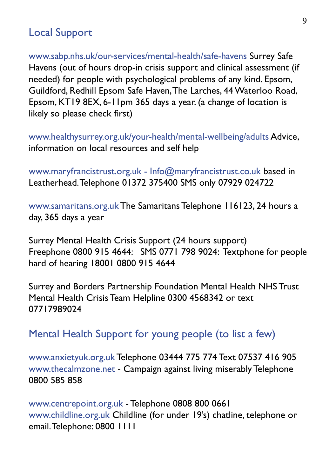#### **Local Support**

www.sabp.nhs.uk/our-services/mental-health/safe-havens Surrey Safe Havens (out of hours drop-in crisis support and clinical assessment (if needed) for people with psychological problems of any kind. Epsom, Guildford, Redhill Epsom Safe Haven, The Larches, 44 Waterloo Road, Epsom, KT19 8EX, 6-11pm 365 days a year. (a change of location is likely so please check first)

www.healthysurrey.org.uk/your-health/mental-wellbeing/adults Advice, information on local resources and self help

www.maryfrancistrust.org.uk - Info@maryfrancistrust.co.uk based in Leatherhead. Telephone 01372 375400 SMS only 07929 024722

www.samaritans.org.uk The Samaritans Telephone 116123, 24 hours a day, 365 days a year

Surrey Mental Health Crisis Support (24 hours support) Freephone 0800 915 4644: SMS 0771 798 9024: Textphone for people hard of hearing 18001 0800 915 4644

Surrey and Borders Partnership Foundation Mental Health NHS Trust Mental Health Crisis Team Helpline 0300 4568342 or text 07717989024

#### Mental Health Support for young people (to list a few)

www.anxietyuk.org.uk Telephone 03444 775 774 Text 07537 416 905 www.thecalmzone.net - Campaign against living miserably Telephone 0800 585 858

www.centrepoint.org.uk - Telephone 0808 800 0661 www.childline.org.uk Childline (for under 19's) chatline, telephone or email. Telephone: 0800 1111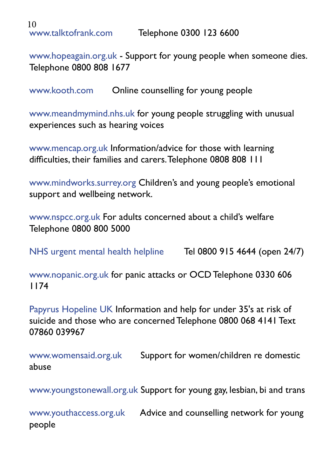10<br>www.talktofrank.com

www.hopeagain.org.uk - Support for young people when someone dies. Telephone 0800 808 1677

www.kooth.com Online counselling for young people

www.meandmymind.nhs.uk for young people struggling with unusual experiences such as hearing voices

www.mencap.org.uk Information/advice for those with learning difficulties, their families and carers. Telephone 0808 808 111

www.mindworks.surrey.org Children's and young people's emotional support and wellbeing network.

www.nspcc.org.uk For adults concerned about a child's welfare Telephone 0800 800 5000

NHS urgent mental health helpline Tel 0800 915 4644 (open 24/7)

www.nopanic.org.uk for panic attacks or OCD Telephone 0330 606  $1174$ 

Papyrus Hopeline UK Information and help for under 35's at risk of suicide and those who are concerned Telephone 0800 068 4141 Text 07860 039967

www.womensaid.org.uk Support for women/children re domestic abuse

www.youngstonewall.org.uk Support for young gay, lesbian, bi and trans

www.youthaccess.org.uk Advice and counselling network for young people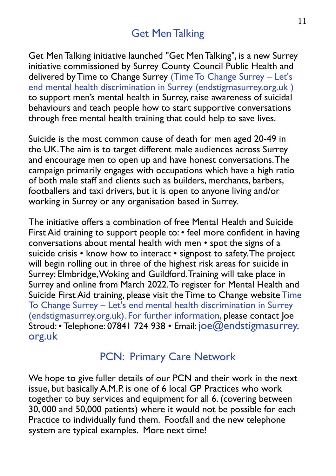#### **Get Men Talking**

Get Men Talking initiative launched "Get Men Talking", is a new Surrey initiative commissioned by Surrey County Council Public Health and delivered by Time to Change Surrey (Time To Change Surrey - Let's end mental health discrimination in Surrey (endstigmasurrey.org.uk) to support men's mental health in Surrey, raise awareness of suicidal behaviours and teach people how to start supportive conversations through free mental health training that could help to save lives.

Suicide is the most common cause of death for men aged 20-49 in the UK. The aim is to target different male audiences across Surrey and encourage men to open up and have honest conversations. The campaign primarily engages with occupations which have a high ratio of both male staff and clients such as builders, merchants, barbers, footballers and taxi drivers, but it is open to anyone living and/or working in Surrey or any organisation based in Surrey.

The initiative offers a combination of free Mental Health and Suicide First Aid training to support people to: • feel more confident in having conversations about mental health with men • spot the signs of a suicide crisis • know how to interact • signpost to safety. The project will begin rolling out in three of the highest risk areas for suicide in Surrey: Elmbridge, Woking and Guildford. Training will take place in Surrey and online from March 2022. To register for Mental Health and Suicide First Aid training, please visit the Time to Change website Time To Change Surrey – Let's end mental health discrimination in Surrey (endstigmasurrey.org.uk). For further information, please contact loe  $\text{Stroud.}$ • Telephone: 07841 724 938 • Email: joe $@$ endstigmasurrey. org.uk

#### PCN: Primary Care Network

We hope to give fuller details of our PCN and their work in the next issue, but basically A.M.P. is one of 6 local GP Practices who work together to buy services and equipment for all 6. (covering between 30,000 and 50,000 patients) where it would not be possible for each Practice to individually fund them. Footfall and the new telephone system are typical examples. More next time!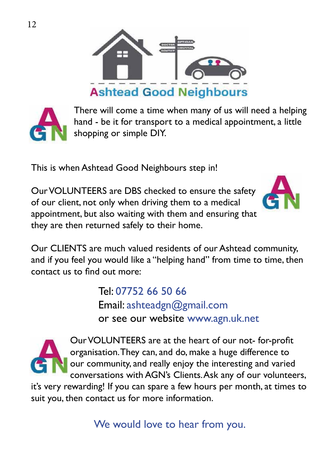



There will come a time when many of us will need a helping hand - be it for transport to a medical appointment, a little shopping or simple DIY.

This is when Ashtead Good Neighbours step in!

Our VOLUNTEERS are DBS checked to ensure the safety of our client, not only when driving them to a medical appointment, but also waiting with them and ensuring that they are then returned safely to their home.



Our CLIENTS are much valued residents of our Ashtead community, and if you feel you would like a "helping hand" from time to time, then contact us to find out more:

> Tel: 07752 66 50 66 Email: ashteadgn@gmail.com or see our website www.agn.uk.net



Our VOLUNTEERS are at the heart of our not-for-profit organisation. They can, and do, make a huge difference to our community, and really enjoy the interesting and varied conversations with AGN's Clients. Ask any of our volunteers,

it's very rewarding! If you can spare a few hours per month, at times to suit you, then contact us for more information.

We would love to hear from you.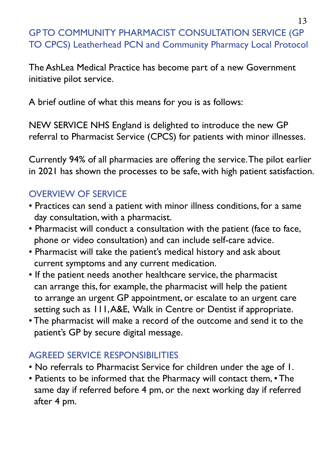#### **GPTO COMMUNITY PHARMACIST CONSULTATION SERVICE (GP** TO CPCS) Leatherhead PCN and Community Pharmacy Local Protocol

The AshLea Medical Practice has become part of a new Government initiative pilot service.

A brief outline of what this means for you is as follows:

NEW SERVICE NHS England is delighted to introduce the new GP referral to Pharmacist Service (CPCS) for patients with minor illnesses.

Currently 94% of all pharmacies are offering the service. The pilot earlier in 2021 has shown the processes to be safe, with high patient satisfaction.

#### **OVERVIEW OF SERVICE**

- Practices can send a patient with minor illness conditions, for a same day consultation, with a pharmacist.
- . Pharmacist will conduct a consultation with the patient (face to face, phone or video consultation) and can include self-care advice.
- Pharmacist will take the patient's medical history and ask about current symptoms and any current medication.
- If the patient needs another healthcare service, the pharmacist can arrange this, for example, the pharmacist will help the patient to arrange an urgent GP appointment, or escalate to an urgent care setting such as 111, A&E, Walk in Centre or Dentist if appropriate.
- The pharmacist will make a record of the outcome and send it to the patient's GP by secure digital message.

#### **AGREED SERVICE RESPONSIBILITIES**

- . No referrals to Pharmacist Service for children under the age of I.
- Patients to be informed that the Pharmacy will contact them, The same day if referred before 4 pm, or the next working day if referred after 4 pm.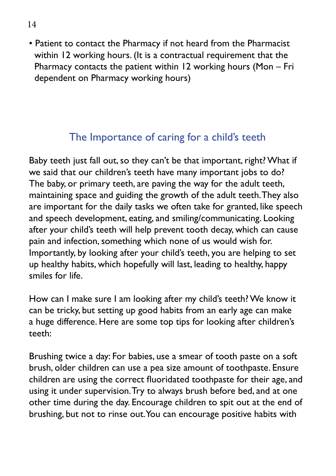• Patient to contact the Pharmacy if not heard from the Pharmacist within 12 working hours. (It is a contractual requirement that the Pharmacy contacts the patient within 12 working hours (Mon  $-$  Fri dependent on Pharmacy working hours)

## The Importance of caring for a child's teeth

Baby teeth just fall out, so they can't be that important, right? What if we said that our children's teeth have many important jobs to do? The baby, or primary teeth, are paving the way for the adult teeth, maintaining space and guiding the growth of the adult teeth. They also are important for the daily tasks we often take for granted, like speech and speech development, eating, and smiling/communicating. Looking after your child's teeth will help prevent tooth decay, which can cause pain and infection, something which none of us would wish for. Importantly, by looking after your child's teeth, you are helping to set up healthy habits, which hopefully will last, leading to healthy, happy smiles for life.

How can I make sure I am looking after my child's teeth? We know it can be tricky, but setting up good habits from an early age can make a huge difference. Here are some top tips for looking after children's teeth:

Brushing twice a day: For babies, use a smear of tooth paste on a soft brush, older children can use a pea size amount of toothpaste. Ensure children are using the correct fluoridated toothpaste for their age, and using it under supervision. Try to always brush before bed, and at one other time during the day. Encourage children to spit out at the end of brushing, but not to rinse out. You can encourage positive habits with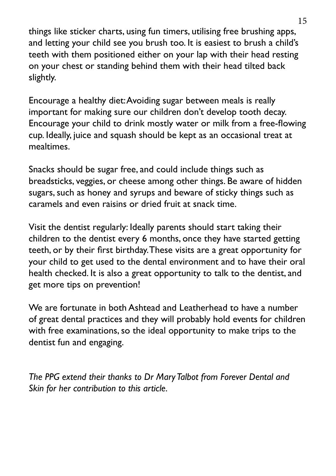things like sticker charts, using fun timers, utilising free brushing apps, and letting your child see you brush too. It is easiest to brush a child's teeth with them positioned either on your lap with their head resting on your chest or standing behind them with their head tilted back slightly.

Encourage a healthy diet: Avoiding sugar between meals is really important for making sure our children don't develop tooth decay. Encourage your child to drink mostly water or milk from a free-flowing cup. Ideally, juice and squash should be kept as an occasional treat at mealtimes.

Snacks should be sugar free, and could include things such as breadsticks, veggies, or cheese among other things. Be aware of hidden sugars, such as honey and syrups and beware of sticky things such as caramels and even raisins or dried fruit at snack time.

Visit the dentist regularly: Ideally parents should start taking their children to the dentist every 6 months, once they have started getting teeth, or by their first birthday. These visits are a great opportunity for your child to get used to the dental environment and to have their oral health checked. It is also a great opportunity to talk to the dentist, and get more tips on prevention!

We are fortunate in both Ashtead and Leatherhead to have a number of great dental practices and they will probably hold events for children with free examinations, so the ideal opportunity to make trips to the dentist fun and engaging.

*The PPG extend their thanks to Dr Mary Talbot from Forever Dental and Skin for her contribution to this article.*